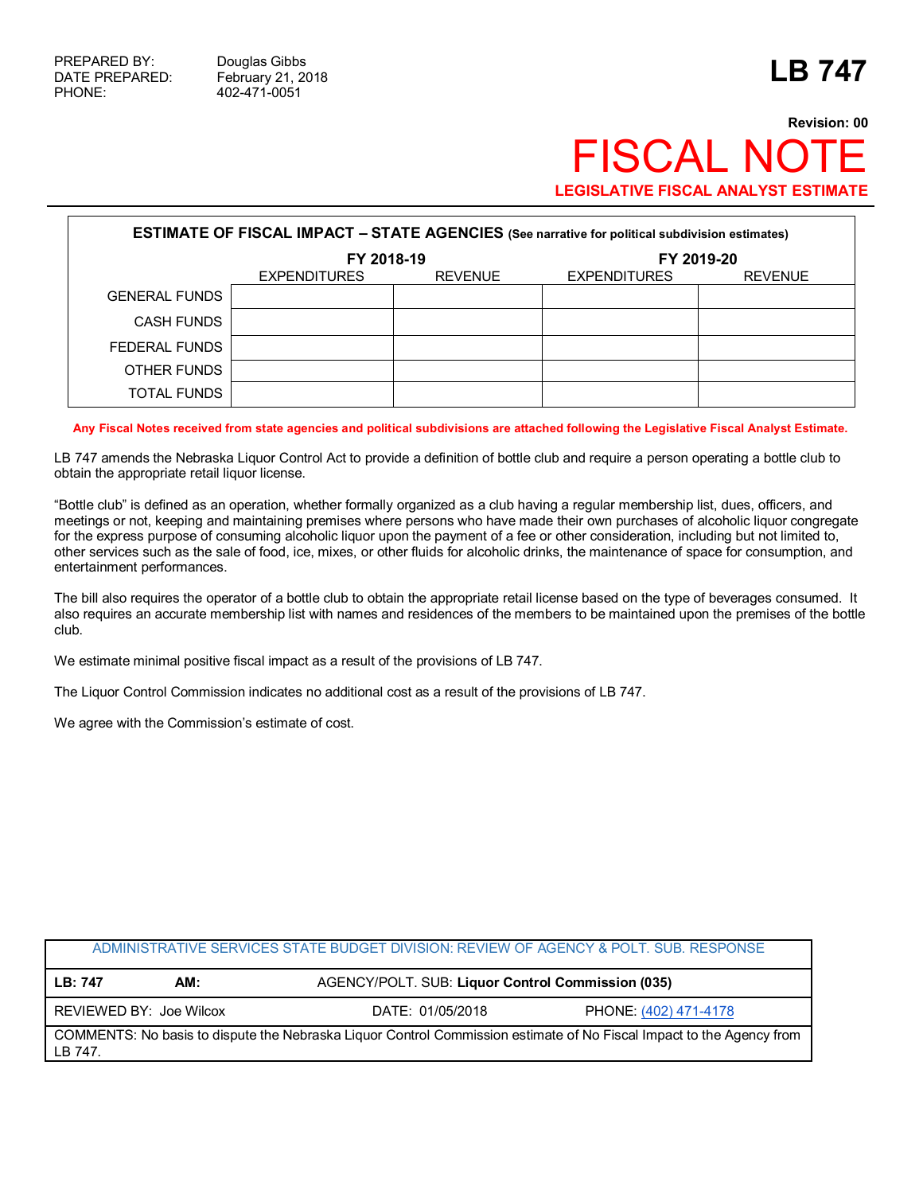## **Revision: 00 FISCAL NO LEGISLATIVE FISCAL ANALYST ESTIMATE**

| <b>ESTIMATE OF FISCAL IMPACT - STATE AGENCIES</b> (See narrative for political subdivision estimates) |                     |                |                     |                |  |
|-------------------------------------------------------------------------------------------------------|---------------------|----------------|---------------------|----------------|--|
|                                                                                                       | FY 2018-19          |                | FY 2019-20          |                |  |
|                                                                                                       | <b>EXPENDITURES</b> | <b>REVENUE</b> | <b>EXPENDITURES</b> | <b>REVENUE</b> |  |
| <b>GENERAL FUNDS</b>                                                                                  |                     |                |                     |                |  |
| CASH FUNDS                                                                                            |                     |                |                     |                |  |
| FEDERAL FUNDS                                                                                         |                     |                |                     |                |  |
| OTHER FUNDS                                                                                           |                     |                |                     |                |  |
| TOTAL FUNDS                                                                                           |                     |                |                     |                |  |

**Any Fiscal Notes received from state agencies and political subdivisions are attached following the Legislative Fiscal Analyst Estimate.**

LB 747 amends the Nebraska Liquor Control Act to provide a definition of bottle club and require a person operating a bottle club to obtain the appropriate retail liquor license.

"Bottle club" is defined as an operation, whether formally organized as a club having a regular membership list, dues, officers, and meetings or not, keeping and maintaining premises where persons who have made their own purchases of alcoholic liquor congregate for the express purpose of consuming alcoholic liquor upon the payment of a fee or other consideration, including but not limited to, other services such as the sale of food, ice, mixes, or other fluids for alcoholic drinks, the maintenance of space for consumption, and entertainment performances.

The bill also requires the operator of a bottle club to obtain the appropriate retail license based on the type of beverages consumed. It also requires an accurate membership list with names and residences of the members to be maintained upon the premises of the bottle club.

We estimate minimal positive fiscal impact as a result of the provisions of LB 747.

The Liquor Control Commission indicates no additional cost as a result of the provisions of LB 747.

We agree with the Commission's estimate of cost.

| ADMINISTRATIVE SERVICES STATE BUDGET DIVISION: REVIEW OF AGENCY & POLT. SUB. RESPONSE                                           |                         |                                                   |                       |  |  |
|---------------------------------------------------------------------------------------------------------------------------------|-------------------------|---------------------------------------------------|-----------------------|--|--|
| LB: 747                                                                                                                         | AM:                     | AGENCY/POLT. SUB: Liquor Control Commission (035) |                       |  |  |
|                                                                                                                                 | REVIEWED BY: Joe Wilcox | DATE: 01/05/2018                                  | PHONE: (402) 471-4178 |  |  |
| COMMENTS: No basis to dispute the Nebraska Liquor Control Commission estimate of No Fiscal Impact to the Agency from<br>LB 747. |                         |                                                   |                       |  |  |